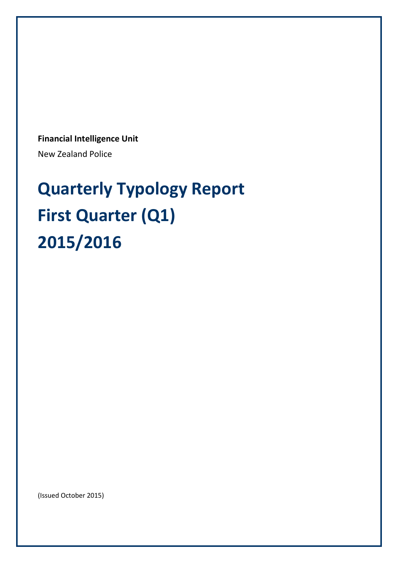**Financial Intelligence Unit**

New Zealand Police

# **Quarterly Typology Report First Quarter (Q1) 2015/2016**

(Issued October 2015)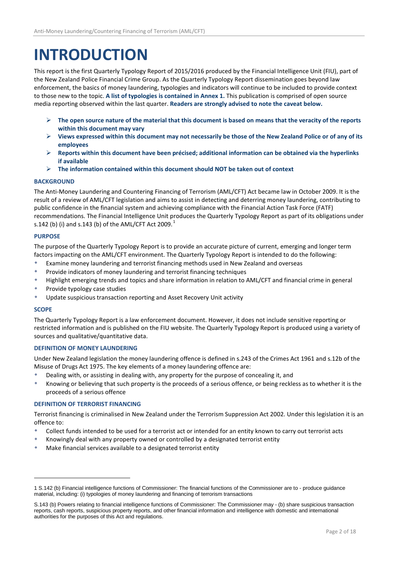### **INTRODUCTION**

This report is the first Quarterly Typology Report of 2015/2016 produced by the Financial Intelligence Unit (FIU), part of the New Zealand Police Financial Crime Group. As the Quarterly Typology Report dissemination goes beyond law enforcement, the basics of money laundering, typologies and indicators will continue to be included to provide context to those new to the topic. **A list of typologies is contained in Annex 1.** This publication is comprised of open source media reporting observed within the last quarter. **Readers are strongly advised to note the caveat below.** 

- **The open source nature of the material that this document is based on means that the veracity of the reports within this document may vary**
- **Views expressed within this document may not necessarily be those of the New Zealand Police or of any of its employees**
- **Reports within this document have been précised; additional information can be obtained via the hyperlinks if available**
- **The information contained within this document should NOT be taken out of context**

#### **BACKGROUND**

The Anti-Money Laundering and Countering Financing of Terrorism (AML/CFT) Act became law in October 2009. It is the result of a review of AML/CFT legislation and aims to assist in detecting and deterring money laundering, contributing to public confidence in the financial system and achieving compliance with the Financial Action Task Force (FATF) recommendations. The Financial Intelligence Unit produces the Quarterly Typology Report as part of its obligations under s.[1](#page-1-0)42 (b) (i) and s.143 (b) of the AML/CFT Act 2009.<sup>1</sup>

#### **PURPOSE**

The purpose of the Quarterly Typology Report is to provide an accurate picture of current, emerging and longer term factors impacting on the AML/CFT environment. The Quarterly Typology Report is intended to do the following:

- Examine money laundering and terrorist financing methods used in New Zealand and overseas
- Provide indicators of money laundering and terrorist financing techniques
- Highlight emerging trends and topics and share information in relation to AML/CFT and financial crime in general
- Provide typology case studies
- Update suspicious transaction reporting and Asset Recovery Unit activity

#### **SCOPE**

1

The Quarterly Typology Report is a law enforcement document. However, it does not include sensitive reporting or restricted information and is published on the FIU website. The Quarterly Typology Report is produced using a variety of sources and qualitative/quantitative data.

#### **DEFINITION OF MONEY LAUNDERING**

Under New Zealand legislation the money laundering offence is defined in s.243 of the Crimes Act 1961 and s.12b of the Misuse of Drugs Act 1975. The key elements of a money laundering offence are:

- Dealing with, or assisting in dealing with, any property for the purpose of concealing it, and
- \* Knowing or believing that such property is the proceeds of a serious offence, or being reckless as to whether it is the proceeds of a serious offence

#### **DEFINITION OF TERRORIST FINANCING**

Terrorist financing is criminalised in New Zealand under the [Terrorism Suppression Act 2002.](http://www.brookersonline.co.nz/databases/modus/lawpart/statutes/ACT-NZL-PUB-Y.2002-34?sid=kmrns7gqcd7vmoctrsxwmgrmbxgvmcpn&hli=0&sp=statutes&si=1610670095) Under this legislation it is an offence to:

- Collect funds intended to be used for a terrorist act or intended for an entity known to carry out terrorist acts
- Knowingly deal with any property owned or controlled by a designated terrorist entity
- Make financial services available to a designated terrorist entity

<sup>1</sup> S.142 (b) Financial intelligence functions of Commissioner: The financial functions of the Commissioner are to - produce guidance material, including: (i) typologies of money laundering and financing of terrorism transactions

<span id="page-1-0"></span>S.143 (b) Powers relating to financial intelligence functions of Commissioner: The Commissioner may - (b) share suspicious transaction reports, cash reports, suspicious property reports, and other financial information and intelligence with domestic and international authorities for the purposes of this Act and regulations.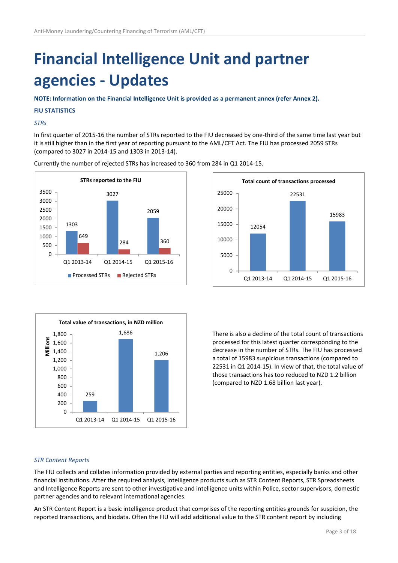## **Financial Intelligence Unit and partner agencies - Updates**

**NOTE: Information on the Financial Intelligence Unit is provided as a permanent annex (refer Annex 2).**

#### **FIU STATISTICS**

#### *STRs*

In first quarter of 2015-16 the number of STRs reported to the FIU decreased by one-third of the same time last year but it is still higher than in the first year of reporting pursuant to the AML/CFT Act. The FIU has processed 2059 STRs (compared to 3027 in 2014-15 and 1303 in 2013-14).

Currently the number of rejected STRs has increased to 360 from 284 in Q1 2014-15.







There is also a decline of the total count of transactions processed for this latest quarter corresponding to the decrease in the number of STRs. The FIU has processed a total of 15983 suspicious transactions (compared to 22531 in Q1 2014-15). In view of that, the total value of those transactions has too reduced to NZD 1.2 billion (compared to NZD 1.68 billion last year).

#### *STR Content Reports*

The FIU collects and collates information provided by external parties and reporting entities, especially banks and other financial institutions. After the required analysis, intelligence products such as STR Content Reports, STR Spreadsheets and Intelligence Reports are sent to other investigative and intelligence units within Police, sector supervisors, domestic partner agencies and to relevant international agencies.

An STR Content Report is a basic intelligence product that comprises of the reporting entities grounds for suspicion, the reported transactions, and biodata. Often the FIU will add additional value to the STR content report by including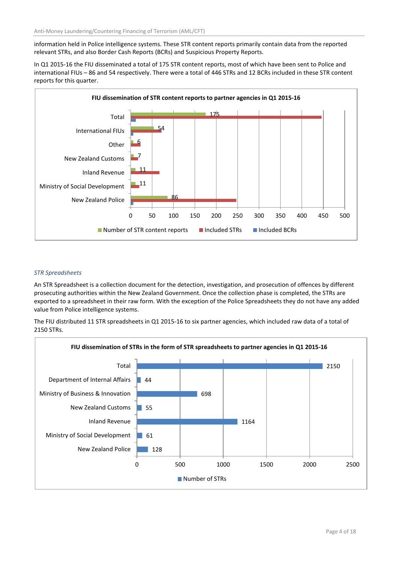information held in Police intelligence systems. These STR content reports primarily contain data from the reported relevant STRs, and also Border Cash Reports (BCRs) and Suspicious Property Reports.

In Q1 2015-16 the FIU disseminated a total of 175 STR content reports, most of which have been sent to Police and international FIUs – 86 and 54 respectively. There were a total of 446 STRs and 12 BCRs included in these STR content reports for this quarter.



#### *STR Spreadsheets*

An STR Spreadsheet is a collection document for the detection, investigation, and prosecution of offences by different prosecuting authorities within the New Zealand Government. Once the collection phase is completed, the STRs are exported to a spreadsheet in their raw form. With the exception of the Police Spreadsheets they do not have any added value from Police intelligence systems.

The FIU distributed 11 STR spreadsheets in Q1 2015-16 to six partner agencies, which included raw data of a total of 2150 STRs.

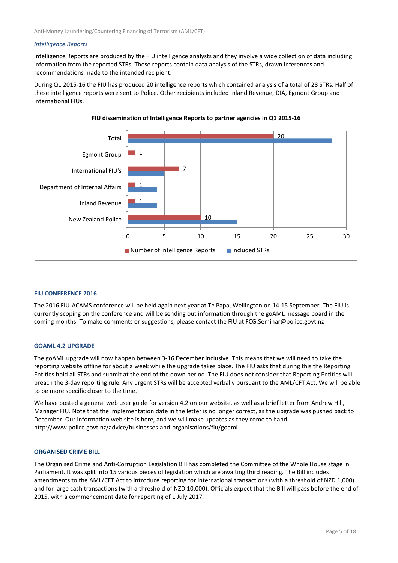#### *Intelligence Reports*

Intelligence Reports are produced by the FIU intelligence analysts and they involve a wide collection of data including information from the reported STRs. These reports contain data analysis of the STRs, drawn inferences and recommendations made to the intended recipient.

During Q1 2015-16 the FIU has produced 20 intelligence reports which contained analysis of a total of 28 STRs. Half of these intelligence reports were sent to Police. Other recipients included Inland Revenue, DIA, Egmont Group and international FIUs.



#### **FIU CONFERENCE 2016**

The 2016 FIU-ACAMS conference will be held again next year at Te Papa, Wellington on 14-15 September. The FIU is currently scoping on the conference and will be sending out information through the goAML message board in the coming months. To make comments or suggestions, please contact the FIU at FCG.Seminar@police.govt.nz

#### **GOAML 4.2 UPGRADE**

The goAML upgrade will now happen between 3-16 December inclusive. This means that we will need to take the reporting website offline for about a week while the upgrade takes place. The FIU asks that during this the Reporting Entities hold all STRs and submit at the end of the down period. The FIU does not consider that Reporting Entities will breach the 3-day reporting rule. Any urgent STRs will be accepted verbally pursuant to the AML/CFT Act. We will be able to be more specific closer to the time.

We have posted a general web user guide for version 4.2 on our website, as well as a brief letter from Andrew Hill, Manager FIU. Note that the implementation date in the letter is no longer correct, as the upgrade was pushed back to December. Our information web site is here, and we will make updates as they come to hand. <http://www.police.govt.nz/advice/businesses-and-organisations/fiu/goaml>

#### **ORGANISED CRIME BILL**

The Organised Crime and Anti-Corruption Legislation Bill has completed the Committee of the Whole House stage in Parliament. It was split into 15 various pieces of legislation which are awaiting third reading. The Bill includes amendments to the AML/CFT Act to introduce reporting for international transactions (with a threshold of NZD 1,000) and for large cash transactions (with a threshold of NZD 10,000). Officials expect that the Bill will pass before the end of 2015, with a commencement date for reporting of 1 July 2017.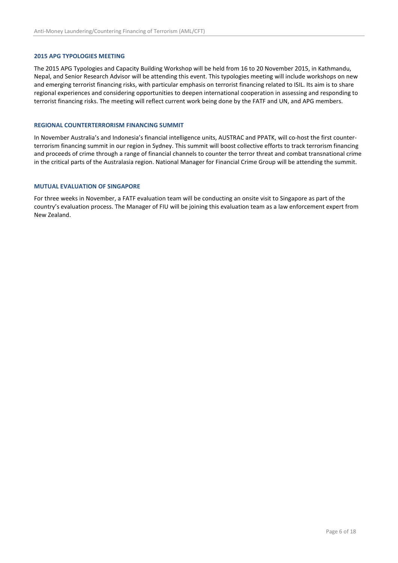#### **2015 APG TYPOLOGIES MEETING**

The 2015 APG Typologies and Capacity Building Workshop will be held from 16 to 20 November 2015, in Kathmandu, Nepal, and Senior Research Advisor will be attending this event. This typologies meeting will include workshops on new and emerging terrorist financing risks, with particular emphasis on terrorist financing related to ISIL. Its aim is to share regional experiences and considering opportunities to deepen international cooperation in assessing and responding to terrorist financing risks. The meeting will reflect current work being done by the FATF and UN, and APG members.

#### **REGIONAL COUNTERTERRORISM FINANCING SUMMIT**

In November Australia's and Indonesia's financial intelligence units, AUSTRAC and PPATK, will co-host the first counterterrorism financing summit in our region in Sydney. This summit will boost collective efforts to track terrorism financing and proceeds of crime through a range of financial channels to counter the terror threat and combat transnational crime in the critical parts of the Australasia region. National Manager for Financial Crime Group will be attending the summit.

#### **MUTUAL EVALUATION OF SINGAPORE**

For three weeks in November, a FATF evaluation team will be conducting an onsite visit to Singapore as part of the country's evaluation process. The Manager of FIU will be joining this evaluation team as a law enforcement expert from New Zealand.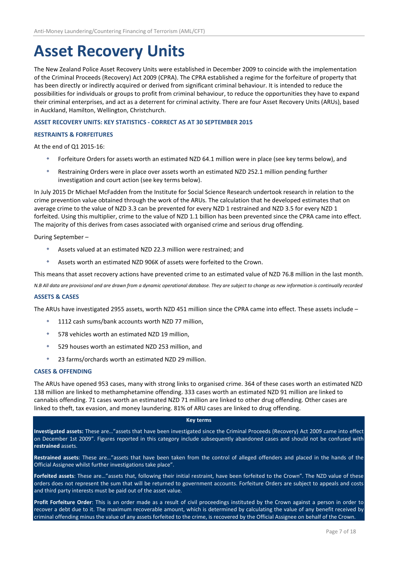### **Asset Recovery Units**

The New Zealand Police Asset Recovery Units were established in December 2009 to coincide with the implementation of the Criminal Proceeds (Recovery) Act 2009 (CPRA). The CPRA established a regime for the forfeiture of property that has been directly or indirectly acquired or derived from significant criminal behaviour. It is intended to reduce the possibilities for individuals or groups to profit from criminal behaviour, to reduce the opportunities they have to expand their criminal enterprises, and act as a deterrent for criminal activity. There are four Asset Recovery Units (ARUs), based in Auckland, Hamilton, Wellington, Christchurch.

#### **ASSET RECOVERY UNITS: KEY STATISTICS - CORRECT AS AT 30 SEPTEMBER 2015**

#### **RESTRAINTS & FORFEITURES**

At the end of Q1 2015-16:

- Forfeiture Orders for assets worth an estimated NZD 64.1 million were in place (see key terms below), and
- Restraining Orders were in place over assets worth an estimated NZD 252.1 million pending further investigation and court action (see key terms below).

In July 2015 Dr Michael McFadden from the Institute for Social Science Research undertook research in relation to the crime prevention value obtained through the work of the ARUs. The calculation that he developed estimates that on average crime to the value of NZD 3.3 can be prevented for every NZD 1 restrained and NZD 3.5 for every NZD 1 forfeited. Using this multiplier, crime to the value of NZD 1.1 billion has been prevented since the CPRA came into effect. The majority of this derives from cases associated with organised crime and serious drug offending.

During September –

- Assets valued at an estimated NZD 22.3 million were restrained; and
- Assets worth an estimated NZD 906K of assets were forfeited to the Crown.

This means that asset recovery actions have prevented crime to an estimated value of NZD 76.8 million in the last month.

*N.B All data are provisional and are drawn from a dynamic operational database. They are subject to change as new information is continually recorded*

#### **ASSETS & CASES**

The ARUs have investigated 2955 assets, worth NZD 451 million since the CPRA came into effect. These assets include –

- 1112 cash sums/bank accounts worth NZD 77 million,
- 578 vehicles worth an estimated NZD 19 million,
- 529 houses worth an estimated NZD 253 million, and
- 23 farms/orchards worth an estimated NZD 29 million.

#### **CASES & OFFENDING**

The ARUs have opened 953 cases, many with strong links to organised crime. 364 of these cases worth an estimated NZD 138 million are linked to methamphetamine offending. 333 cases worth an estimated NZD 91 million are linked to cannabis offending. 71 cases worth an estimated NZD 71 million are linked to other drug offending. Other cases are linked to theft, tax evasion, and money laundering. 81% of ARU cases are linked to drug offending.

#### **Key terms**

**Investigated assets:** These are…"assets that have been investigated since the Criminal Proceeds (Recovery) Act 2009 came into effect on December 1st 2009". Figures reported in this category include subsequently abandoned cases and should not be confused with **restrained** assets.

**Restrained assets**: These are…"assets that have been taken from the control of alleged offenders and placed in the hands of the Official Assignee whilst further investigations take place".

**Forfeited assets**: These are…"assets that, following their initial restraint, have been forfeited to the Crown". The NZD value of these orders does not represent the sum that will be returned to government accounts. Forfeiture Orders are subject to appeals and costs and third party interests must be paid out of the asset value.

**Profit Forfeiture Order**: This is an order made as a result of civil proceedings instituted by the Crown against a person in order to recover a debt due to it. The maximum recoverable amount, which is determined by calculating the value of any benefit received by criminal offending minus the value of any assets forfeited to the crime, is recovered by the Official Assignee on behalf of the Crown.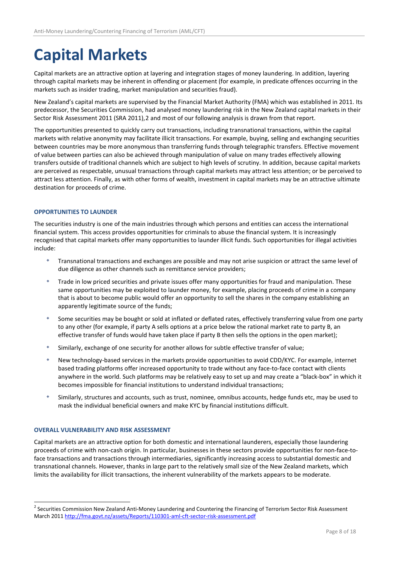## **Capital Markets**

Capital markets are an attractive option at layering and integration stages of money laundering. In addition, layering through capital markets may be inherent in offending or placement (for example, in predicate offences occurring in the markets such as insider trading, market manipulation and securities fraud).

New Zealand's capital markets are supervised by the Financial Market Authority (FMA) which was established in 2011. Its predecessor, the Securities Commission, had analysed money laundering risk in the New Zealand capital markets in their Sector Risk Assessment 2011 (SRA 2011),[2](#page-7-0) and most of our following analysis is drawn from that report.

The opportunities presented to quickly carry out transactions, including transnational transactions, within the capital markets with relative anonymity may facilitate illicit transactions. For example, buying, selling and exchanging securities between countries may be more anonymous than transferring funds through telegraphic transfers. Effective movement of value between parties can also be achieved through manipulation of value on many trades effectively allowing transfers outside of traditional channels which are subject to high levels of scrutiny. In addition, because capital markets are perceived as respectable, unusual transactions through capital markets may attract less attention; or be perceived to attract less attention. Finally, as with other forms of wealth, investment in capital markets may be an attractive ultimate destination for proceeds of crime.

#### **OPPORTUNITIES TO LAUNDER**

The securities industry is one of the main industries through which persons and entities can access the international financial system. This access provides opportunities for criminals to abuse the financial system. It is increasingly recognised that capital markets offer many opportunities to launder illicit funds. Such opportunities for illegal activities include:

- Transnational transactions and exchanges are possible and may not arise suspicion or attract the same level of due diligence as other channels such as remittance service providers;
- Trade in low priced securities and private issues offer many opportunities for fraud and manipulation. These same opportunities may be exploited to launder money, for example, placing proceeds of crime in a company that is about to become public would offer an opportunity to sell the shares in the company establishing an apparently legitimate source of the funds;
- Some securities may be bought or sold at inflated or deflated rates, effectively transferring value from one party to any other (for example, if party A sells options at a price below the rational market rate to party B, an effective transfer of funds would have taken place if party B then sells the options in the open market);
- Similarly, exchange of one security for another allows for subtle effective transfer of value;
- New technology-based services in the markets provide opportunities to avoid CDD/KYC. For example, internet based trading platforms offer increased opportunity to trade without any face-to-face contact with clients anywhere in the world. Such platforms may be relatively easy to set up and may create a "black-box" in which it becomes impossible for financial institutions to understand individual transactions;
- Similarly, structures and accounts, such as trust, nominee, omnibus accounts, hedge funds etc, may be used to mask the individual beneficial owners and make KYC by financial institutions difficult.

#### **OVERALL VULNERABILITY AND RISK ASSESSMENT**

Capital markets are an attractive option for both domestic and international launderers, especially those laundering proceeds of crime with non-cash origin. In particular, businesses in these sectors provide opportunities for non-face-toface transactions and transactions through intermediaries, significantly increasing access to substantial domestic and transnational channels. However, thanks in large part to the relatively small size of the New Zealand markets, which limits the availability for illicit transactions, the inherent vulnerability of the markets appears to be moderate.

<span id="page-7-0"></span><sup>&</sup>lt;sup>2</sup> Securities Commission New Zealand Anti-Money Laundering and Countering the Financing of Terrorism Sector Risk Assessment March 2011<http://fma.govt.nz/assets/Reports/110301-aml-cft-sector-risk-assessment.pdf>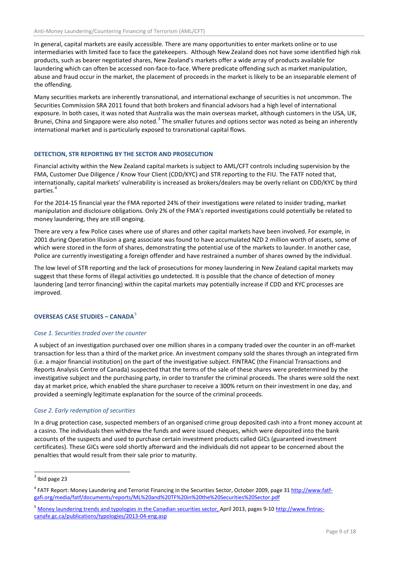In general, capital markets are easily accessible. There are many opportunities to enter markets online or to use intermediaries with limited face to face the gatekeepers. Although New Zealand does not have some identified high risk products, such as bearer negotiated shares, New Zealand's markets offer a wide array of products available for laundering which can often be accessed non-face-to-face. Where predicate offending such as market manipulation, abuse and fraud occur in the market, the placement of proceeds in the market is likely to be an inseparable element of the offending.

Many securities markets are inherently transnational, and international exchange of securities is not uncommon. The Securities Commission SRA 2011 found that both brokers and financial advisors had a high level of international exposure. In both cases, it was noted that Australia was the main overseas market, although customers in the USA, UK, Brunei, China and Singapore were also noted.<sup>[3](#page-8-0)</sup> The smaller futures and options sector was noted as being an inherently international market and is particularly exposed to transnational capital flows.

#### **DETECTION, STR REPORTING BY THE SECTOR AND PROSECUTION**

Financial activity within the New Zealand capital markets is subject to AML/CFT controls including supervision by the FMA, Customer Due Diligence / Know Your Client (CDD/KYC) and STR reporting to the FIU. The FATF noted that, internationally, capital markets' vulnerability is increased as brokers/dealers may be overly reliant on CDD/KYC by third parties.<sup>[4](#page-8-1)</sup>

For the 2014-15 financial year the FMA reported 24% of their investigations were related to insider trading, market manipulation and disclosure obligations. Only 2% of the FMA's reported investigations could potentially be related to money laundering, they are still ongoing.

There are very a few Police cases where use of shares and other capital markets have been involved. For example, in 2001 during Operation Illusion a gang associate was found to have accumulated NZD 2 million worth of assets, some of which were stored in the form of shares, demonstrating the potential use of the markets to launder. In another case, Police are currently investigating a foreign offender and have restrained a number of shares owned by the individual.

The low level of STR reporting and the lack of prosecutions for money laundering in New Zealand capital markets may suggest that these forms of illegal activities go undetected. It is possible that the chance of detection of money laundering (and terror financing) within the capital markets may potentially increase if CDD and KYC processes are improved.

#### **OVERSEAS CASE STUDIES – CANADA<sup>[5](#page-8-2)</sup>**

#### *Case 1. Securities traded over the counter*

A subject of an investigation purchased over one million shares in a company traded over the counter in an off-market transaction for less than a third of the market price. An investment company sold the shares through an integrated firm (i.e. a major financial institution) on the part of the investigative subject. FINTRAC (the Financial Transactions and Reports Analysis Centre of Canada) suspected that the terms of the sale of these shares were predetermined by the investigative subject and the purchasing party, in order to transfer the criminal proceeds. The shares were sold the next day at market price, which enabled the share purchaser to receive a 300% return on their investment in one day, and provided a seemingly legitimate explanation for the source of the criminal proceeds.

#### *Case 2. Early redemption of securities*

In a drug protection case, suspected members of an organised crime group deposited cash into a front money account at a casino. The individuals then withdrew the funds and were issued cheques, which were deposited into the bank accounts of the suspects and used to purchase certain investment products called GICs (guaranteed investment certificates). These GICs were sold shortly afterward and the individuals did not appear to be concerned about the penalties that would result from their sale prior to maturity.

<span id="page-8-0"></span> $3$  Ibid page 23

<span id="page-8-1"></span><sup>&</sup>lt;sup>4</sup> FATF Report: Money Laundering and Terrorist Financing in the Securities Sector, October 2009, page 31 [http://www.fatf](http://www.fatf-gafi.org/media/fatf/documents/reports/ML%20and%20TF%20in%20the%20Securities%20Sector.pdf)[gafi.org/media/fatf/documents/reports/ML%20and%20TF%20in%20the%20Securities%20Sector.pdf](http://www.fatf-gafi.org/media/fatf/documents/reports/ML%20and%20TF%20in%20the%20Securities%20Sector.pdf)

<span id="page-8-2"></span><sup>&</sup>lt;sup>5</sup> [Money laundering trends and typologies in the Canadian securities sector, April 2013,](http://www.fintrac-canafe.gc.ca/publications/typologies/2013-04-eng.asp) pages 9-10 [http://www.fintrac](http://www.fintrac-canafe.gc.ca/publications/typologies/2013-04-eng.asp)[canafe.gc.ca/publications/typologies/2013-04-eng.asp](http://www.fintrac-canafe.gc.ca/publications/typologies/2013-04-eng.asp)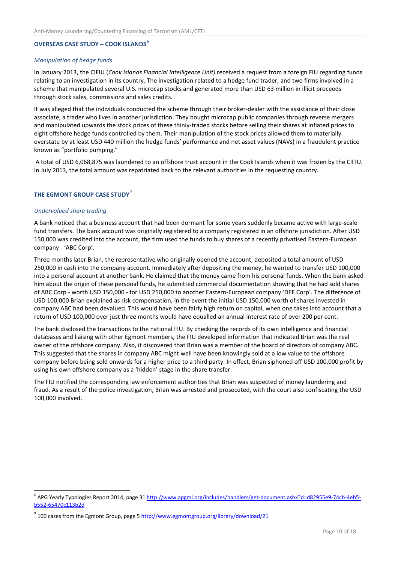#### **OVERSEAS CASE STUDY – COOK ISLANDS**[6](#page-9-0)

#### *Manipulation of hedge funds*

In January 2013, the CIFIU (*Cook Islands Financial Intelligence Unit)* received a request from a foreign FIU regarding funds relating to an investigation in its country. The investigation related to a hedge fund trader, and two firms involved in a scheme that manipulated several U.S. microcap stocks and generated more than USD 63 million in illicit proceeds through stock sales, commissions and sales credits.

It was alleged that the individuals conducted the scheme through their broker-dealer with the assistance of their close associate, a trader who lives in another jurisdiction. They bought microcap public companies through reverse mergers and manipulated upwards the stock prices of these thinly-traded stocks before selling their shares at inflated prices to eight offshore hedge funds controlled by them. Their manipulation of the stock prices allowed them to materially overstate by at least USD 440 million the hedge funds' performance and net asset values (NAVs) in a fraudulent practice known as "portfolio pumping."

A total of USD 6,068,875 was laundered to an offshore trust account in the Cook Islands when it was frozen by the CIFIU. In July 2013, the total amount was repatriated back to the relevant authorities in the requesting country.

#### **THE EGMONT GROUP CASE STUDY**[7](#page-9-1)

#### *Undervalued share trading*

A bank noticed that a business account that had been dormant for some years suddenly became active with large-scale fund transfers. The bank account was originally registered to a company registered in an offshore jurisdiction. After USD 150,000 was credited into the account, the firm used the funds to buy shares of a recently privatised Eastern-European company - 'ABC Corp'.

Three months later Brian, the representative who originally opened the account, deposited a total amount of USD 250,000 in cash into the company account. Immediately after depositing the money, he wanted to transfer USD 100,000 into a personal account at another bank. He claimed that the money came from his personal funds. When the bank asked him about the origin of these personal funds, he submitted commercial documentation showing that he had sold shares of ABC Corp - worth USD 150,000 - for USD 250,000 to another Eastern-European company 'DEF Corp'. The difference of USD 100,000 Brian explained as risk compensation, in the event the initial USD 150,000 worth of shares invested in company ABC had been devalued. This would have been fairly high return on capital, when one takes into account that a return of USD 100,000 over just three months would have equalled an annual interest rate of over 200 per cent.

The bank disclosed the transactions to the national FIU. By checking the records of its own intelligence and financial databases and liaising with other Egmont members, the FIU developed information that indicated Brian was the real owner of the offshore company. Also, it discovered that Brian was a member of the board of directors of company ABC. This suggested that the shares in company ABC might well have been knowingly sold at a low value to the offshore company before being sold onwards for a higher price to a third party. In effect, Brian siphoned off USD 100,000 profit by using his own offshore company as a 'hidden' stage in the share transfer.

The FIU notified the corresponding law enforcement authorities that Brian was suspected of money laundering and fraud. As a result of the police investigation, Brian was arrested and prosecuted, with the court also confiscating the USD 100,000 involved.

<span id="page-9-0"></span><sup>&</sup>lt;sup>6</sup> APG Yearly Typologies Report 2014, page 31 [http://www.apgml.org/includes/handlers/get-document.ashx?d=d82955e9-74cb-4eb5](http://www.apgml.org/includes/handlers/get-document.ashx?d=d82955e9-74cb-4eb5-b552-65470c113b2d) [b552-65470c113b2d](http://www.apgml.org/includes/handlers/get-document.ashx?d=d82955e9-74cb-4eb5-b552-65470c113b2d)

<span id="page-9-1"></span> $^7$  100 cases from the Egmont Group, page 5 <http://www.egmontgroup.org/library/download/21>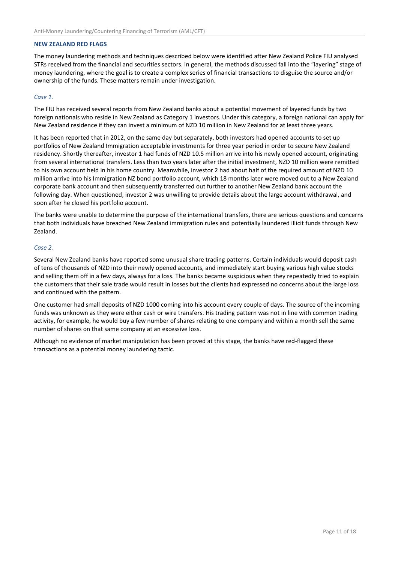#### **NEW ZEALAND RED FLAGS**

The money laundering methods and techniques described below were identified after New Zealand Police FIU analysed STRs received from the financial and securities sectors. In general, the methods discussed fall into the "layering" stage of money laundering, where the goal is to create a complex series of financial transactions to disguise the source and/or ownership of the funds. These matters remain under investigation.

#### *Case 1.*

The FIU has received several reports from New Zealand banks about a potential movement of layered funds by two foreign nationals who reside in New Zealand as Category 1 investors. Under this category, a foreign national can apply for New Zealand residence if they can invest a minimum of NZD 10 million in New Zealand for at least three years.

It has been reported that in 2012, on the same day but separately, both investors had opened accounts to set up portfolios of New Zealand Immigration acceptable investments for three year period in order to secure New Zealand residency. Shortly thereafter, investor 1 had funds of NZD 10.5 million arrive into his newly opened account, originating from several international transfers. Less than two years later after the initial investment, NZD 10 million were remitted to his own account held in his home country. Meanwhile, investor 2 had about half of the required amount of NZD 10 million arrive into his Immigration NZ bond portfolio account, which 18 months later were moved out to a New Zealand corporate bank account and then subsequently transferred out further to another New Zealand bank account the following day. When questioned, investor 2 was unwilling to provide details about the large account withdrawal, and soon after he closed his portfolio account.

The banks were unable to determine the purpose of the international transfers, there are serious questions and concerns that both individuals have breached New Zealand immigration rules and potentially laundered illicit funds through New Zealand.

#### *Case 2.*

Several New Zealand banks have reported some unusual share trading patterns. Certain individuals would deposit cash of tens of thousands of NZD into their newly opened accounts, and immediately start buying various high value stocks and selling them off in a few days, always for a loss. The banks became suspicious when they repeatedly tried to explain the customers that their sale trade would result in losses but the clients had expressed no concerns about the large loss and continued with the pattern.

One customer had small deposits of NZD 1000 coming into his account every couple of days. The source of the incoming funds was unknown as they were either cash or wire transfers. His trading pattern was not in line with common trading activity, for example, he would buy a few number of shares relating to one company and within a month sell the same number of shares on that same company at an excessive loss.

Although no evidence of market manipulation has been proved at this stage, the banks have red-flagged these transactions as a potential money laundering tactic.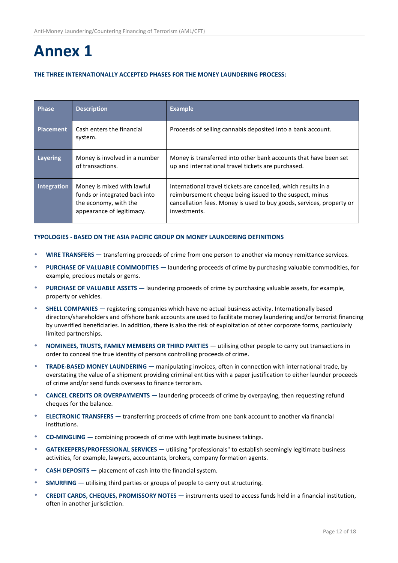### **Annex 1**

#### **THE THREE INTERNATIONALLY ACCEPTED PHASES FOR THE MONEY LAUNDERING PROCESS:**

| <b>Phase</b>     | <b>Description</b>                                                                                                | <b>Example</b>                                                                                                                                                                                                    |
|------------------|-------------------------------------------------------------------------------------------------------------------|-------------------------------------------------------------------------------------------------------------------------------------------------------------------------------------------------------------------|
| <b>Placement</b> | Cash enters the financial<br>system.                                                                              | Proceeds of selling cannabis deposited into a bank account.                                                                                                                                                       |
| Layering         | Money is involved in a number<br>of transactions.                                                                 | Money is transferred into other bank accounts that have been set<br>up and international travel tickets are purchased.                                                                                            |
| Integration      | Money is mixed with lawful<br>funds or integrated back into<br>the economy, with the<br>appearance of legitimacy. | International travel tickets are cancelled, which results in a<br>reimbursement cheque being issued to the suspect, minus<br>cancellation fees. Money is used to buy goods, services, property or<br>investments. |

#### **TYPOLOGIES - BASED ON THE ASIA PACIFIC GROUP ON MONEY LAUNDERING DEFINITIONS**

- **WIRE TRANSFERS ―** transferring proceeds of crime from one person to another via money remittance services.
- **PURCHASE OF VALUABLE COMMODITIES ―** laundering proceeds of crime by purchasing valuable commodities, for example, precious metals or gems.
- **PURCHASE OF VALUABLE ASSETS ―** laundering proceeds of crime by purchasing valuable assets, for example, property or vehicles.
- **SHELL COMPANIES ―** registering companies which have no actual business activity. Internationally based directors/shareholders and offshore bank accounts are used to facilitate money laundering and/or terrorist financing by unverified beneficiaries. In addition, there is also the risk of exploitation of other corporate forms, particularly limited partnerships.
- **NOMINEES, TRUSTS, FAMILY MEMBERS OR THIRD PARTIES** ― utilising other people to carry out transactions in order to conceal the true identity of persons controlling proceeds of crime.
- **TRADE-BASED MONEY LAUNDERING ―** manipulating invoices, often in connection with international trade, by overstating the value of a shipment providing criminal entities with a paper justification to either launder proceeds of crime and/or send funds overseas to finance terrorism.
- **CANCEL CREDITS OR OVERPAYMENTS ―** laundering proceeds of crime by overpaying, then requesting refund cheques for the balance.
- **ELECTRONIC TRANSFERS ―** transferring proceeds of crime from one bank account to another via financial institutions.
- **CO-MINGLING ―** combining proceeds of crime with legitimate business takings.
- **GATEKEEPERS/PROFESSIONAL SERVICES ―** utilising "professionals" to establish seemingly legitimate business activities, for example, lawyers, accountants, brokers, company formation agents.
- **CASH DEPOSITS ―** placement of cash into the financial system.
- **SMURFING ―** utilising third parties or groups of people to carry out structuring.
- **CREDIT CARDS, CHEQUES, PROMISSORY NOTES ―** instruments used to access funds held in a financial institution, often in another jurisdiction.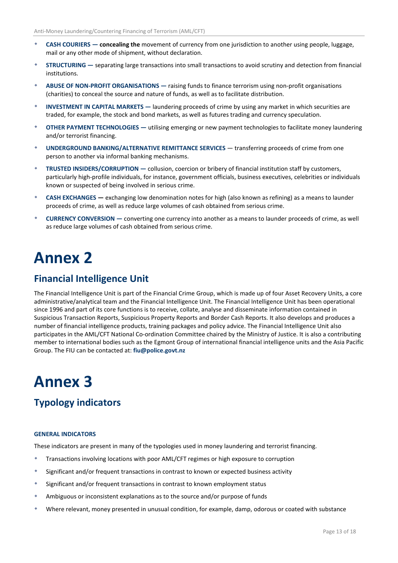- **CASH COURIERS ― concealing the** movement of currency from one jurisdiction to another using people, luggage, mail or any other mode of shipment, without declaration.
- **STRUCTURING ―** separating large transactions into small transactions to avoid scrutiny and detection from financial institutions.
- **ABUSE OF NON-PROFIT ORGANISATIONS ―** raising funds to finance terrorism using non-profit organisations (charities) to conceal the source and nature of funds, as well as to facilitate distribution.
- **INVESTMENT IN CAPITAL MARKETS ―** laundering proceeds of crime by using any market in which securities are traded, for example, the stock and bond markets, as well as futures trading and currency speculation.
- **OTHER PAYMENT TECHNOLOGIES ―** utilising emerging or new payment technologies to facilitate money laundering and/or terrorist financing.
- **UNDERGROUND BANKING/ALTERNATIVE REMITTANCE SERVICES** ― transferring proceeds of crime from one person to another via informal banking mechanisms.
- **TRUSTED INSIDERS/CORRUPTION ―** collusion, coercion or bribery of financial institution staff by customers, particularly high-profile individuals, for instance, government officials, business executives, celebrities or individuals known or suspected of being involved in serious crime.
- **CASH EXCHANGES ―** exchanging low denomination notes for high (also known as refining) as a means to launder proceeds of crime, as well as reduce large volumes of cash obtained from serious crime.
- **CURRENCY CONVERSION ―** converting one currency into another as a means to launder proceeds of crime, as well as reduce large volumes of cash obtained from serious crime.

### **Annex 2**

### **Financial Intelligence Unit**

The Financial Intelligence Unit is part of the Financial Crime Group, which is made up of four Asset Recovery Units, a core administrative/analytical team and the Financial Intelligence Unit. The Financial Intelligence Unit has been operational since 1996 and part of its core functions is to receive, collate, analyse and disseminate information contained in Suspicious Transaction Reports, Suspicious Property Reports and Border Cash Reports. It also develops and produces a number of financial intelligence products, training packages and policy advice. The Financial Intelligence Unit also participates in the AML/CFT National Co-ordination Committee chaired by the Ministry of Justice. It is also a contributing member to international bodies such as the Egmont Group of international financial intelligence units and the Asia Pacific Group. The FIU can be contacted at: **fiu@police.govt.nz**

### **Annex 3**

### **Typology indicators**

#### **GENERAL INDICATORS**

These indicators are present in many of the typologies used in money laundering and terrorist financing.

- Transactions involving locations with poor AML/CFT regimes or high exposure to corruption
- \* Significant and/or frequent transactions in contrast to known or expected business activity
- Significant and/or frequent transactions in contrast to known employment status
- Ambiguous or inconsistent explanations as to the source and/or purpose of funds
- Where relevant, money presented in unusual condition, for example, damp, odorous or coated with substance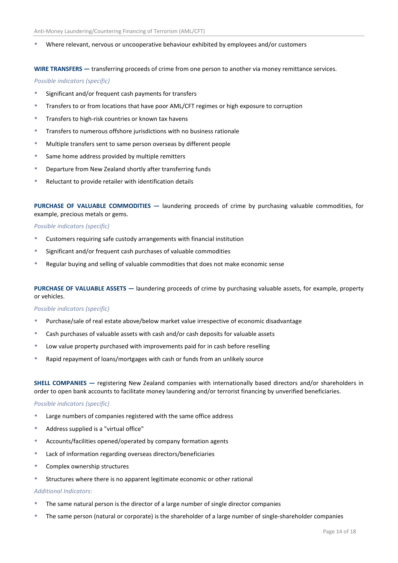Where relevant, nervous or uncooperative behaviour exhibited by employees and/or customers

**WIRE TRANSFERS ―** transferring proceeds of crime from one person to another via money remittance services.

*Possible indicators (specific)*

- Significant and/or frequent cash payments for transfers
- Transfers to or from locations that have poor AML/CFT regimes or high exposure to corruption
- Transfers to high-risk countries or known tax havens
- Transfers to numerous offshore jurisdictions with no business rationale
- Multiple transfers sent to same person overseas by different people
- Same home address provided by multiple remitters
- Departure from New Zealand shortly after transferring funds
- Reluctant to provide retailer with identification details

**PURCHASE OF VALUABLE COMMODITIES ―** laundering proceeds of crime by purchasing valuable commodities, for example, precious metals or gems.

#### *Possible indicators (specific)*

- Customers requiring safe custody arrangements with financial institution
- Significant and/or frequent cash purchases of valuable commodities
- Regular buying and selling of valuable commodities that does not make economic sense

**PURCHASE OF VALUABLE ASSETS ―** laundering proceeds of crime by purchasing valuable assets, for example, property or vehicles.

#### *Possible indicators (specific)*

- Purchase/sale of real estate above/below market value irrespective of economic disadvantage
- Cash purchases of valuable assets with cash and/or cash deposits for valuable assets
- Low value property purchased with improvements paid for in cash before reselling
- Rapid repayment of loans/mortgages with cash or funds from an unlikely source

**SHELL COMPANIES ―** registering New Zealand companies with internationally based directors and/or shareholders in order to open bank accounts to facilitate money laundering and/or terrorist financing by unverified beneficiaries.

#### *Possible indicators (specific)*

- Large numbers of companies registered with the same office address
- Address supplied is a "virtual office"
- Accounts/facilities opened/operated by company formation agents
- Lack of information regarding overseas directors/beneficiaries
- Complex ownership structures
- Structures where there is no apparent legitimate economic or other rational

#### *Additional Indicators:*

- The same natural person is the director of a large number of single director companies
- The same person (natural or corporate) is the shareholder of a large number of single-shareholder companies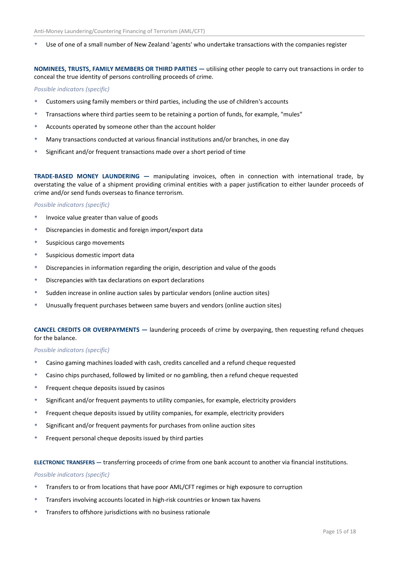Use of one of a small number of New Zealand 'agents' who undertake transactions with the companies register

#### **NOMINEES, TRUSTS, FAMILY MEMBERS OR THIRD PARTIES ―** utilising other people to carry out transactions in order to conceal the true identity of persons controlling proceeds of crime.

#### *Possible indicators (specific)*

- Customers using family members or third parties, including the use of children's accounts
- Transactions where third parties seem to be retaining a portion of funds, for example, "mules"
- Accounts operated by someone other than the account holder
- Many transactions conducted at various financial institutions and/or branches, in one day
- Significant and/or frequent transactions made over a short period of time

**TRADE-BASED MONEY LAUNDERING ―** manipulating invoices, often in connection with international trade, by overstating the value of a shipment providing criminal entities with a paper justification to either launder proceeds of crime and/or send funds overseas to finance terrorism.

#### *Possible indicators (specific)*

- \* Invoice value greater than value of goods
- Discrepancies in domestic and foreign import/export data
- Suspicious cargo movements
- Suspicious domestic import data
- Discrepancies in information regarding the origin, description and value of the goods
- Discrepancies with tax declarations on export declarations
- Sudden increase in online auction sales by particular vendors (online auction sites)
- Unusually frequent purchases between same buyers and vendors (online auction sites)

#### **CANCEL CREDITS OR OVERPAYMENTS ―** laundering proceeds of crime by overpaying, then requesting refund cheques for the balance.

#### *Possible indicators (specific)*

- Casino gaming machines loaded with cash, credits cancelled and a refund cheque requested
- Casino chips purchased, followed by limited or no gambling, then a refund cheque requested
- \* Frequent cheque deposits issued by casinos
- Significant and/or frequent payments to utility companies, for example, electricity providers
- Frequent cheque deposits issued by utility companies, for example, electricity providers
- Significant and/or frequent payments for purchases from online auction sites
- Frequent personal cheque deposits issued by third parties

#### **ELECTRONIC TRANSFERS ―** transferring proceeds of crime from one bank account to another via financial institutions.

#### *Possible indicators (specific)*

- Transfers to or from locations that have poor AML/CFT regimes or high exposure to corruption
- Transfers involving accounts located in high-risk countries or known tax havens
- Transfers to offshore jurisdictions with no business rationale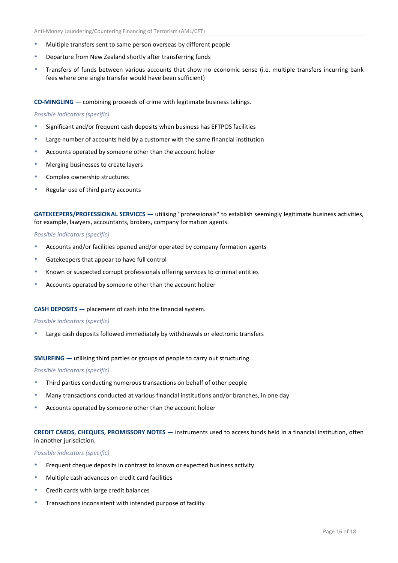- Multiple transfers sent to same person overseas by different people
- Departure from New Zealand shortly after transferring funds
- Transfers of funds between various accounts that show no economic sense (i.e. multiple transfers incurring bank fees where one single transfer would have been sufficient)

**CO-MINGLING ―** combining proceeds of crime with legitimate business takings.

#### *Possible indicators (specific)*

- Significant and/or frequent cash deposits when business has EFTPOS facilities
- Large number of accounts held by a customer with the same financial institution
- Accounts operated by someone other than the account holder
- Merging businesses to create layers
- Complex ownership structures
- Regular use of third party accounts

**GATEKEEPERS/PROFESSIONAL SERVICES ―** utilising "professionals" to establish seemingly legitimate business activities, for example, lawyers, accountants, brokers, company formation agents.

#### *Possible indicators (specific)*

- Accounts and/or facilities opened and/or operated by company formation agents
- Gatekeepers that appear to have full control
- Known or suspected corrupt professionals offering services to criminal entities
- Accounts operated by someone other than the account holder

#### **CASH DEPOSITS ―** placement of cash into the financial system.

#### *Possible indicators (specific)*

Large cash deposits followed immediately by withdrawals or electronic transfers

#### **SMURFING ―** utilising third parties or groups of people to carry out structuring.

#### *Possible indicators (specific)*

- Third parties conducting numerous transactions on behalf of other people
- Many transactions conducted at various financial institutions and/or branches, in one day
- Accounts operated by someone other than the account holder

#### **CREDIT CARDS, CHEQUES, PROMISSORY NOTES ―** instruments used to access funds held in a financial institution, often in another jurisdiction.

#### *Possible indicators (specific)*

- Frequent cheque deposits in contrast to known or expected business activity
- Multiple cash advances on credit card facilities
- Credit cards with large credit balances
- Transactions inconsistent with intended purpose of facility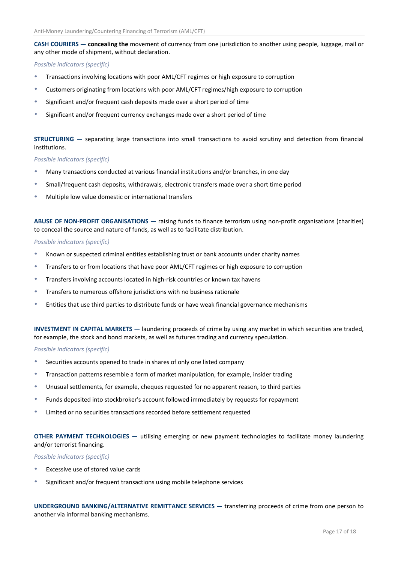#### **CASH COURIERS ― concealing the** movement of currency from one jurisdiction to another using people, luggage, mail or any other mode of shipment, without declaration.

#### *Possible indicators (specific)*

- Transactions involving locations with poor AML/CFT regimes or high exposure to corruption
- Customers originating from locations with poor AML/CFT regimes/high exposure to corruption
- Significant and/or frequent cash deposits made over a short period of time
- Significant and/or frequent currency exchanges made over a short period of time

#### **STRUCTURING ―** separating large transactions into small transactions to avoid scrutiny and detection from financial institutions.

#### *Possible indicators (specific)*

- Many transactions conducted at various financial institutions and/or branches, in one day
- Small/frequent cash deposits, withdrawals, electronic transfers made over a short time period
- Multiple low value domestic or international transfers

**ABUSE OF NON-PROFIT ORGANISATIONS ―** raising funds to finance terrorism using non-profit organisations (charities) to conceal the source and nature of funds, as well as to facilitate distribution.

#### *Possible indicators (specific)*

- Known or suspected criminal entities establishing trust or bank accounts under charity names
- Transfers to or from locations that have poor AML/CFT regimes or high exposure to corruption
- Transfers involving accounts located in high-risk countries or known tax havens
- Transfers to numerous offshore jurisdictions with no business rationale
- Entities that use third parties to distribute funds or have weak financial governance mechanisms

**INVESTMENT IN CAPITAL MARKETS ―** laundering proceeds of crime by using any market in which securities are traded, for example, the stock and bond markets, as well as futures trading and currency speculation.

#### *Possible indicators (specific)*

- Securities accounts opened to trade in shares of only one listed company
- Transaction patterns resemble a form of market manipulation, for example, insider trading
- Unusual settlements, for example, cheques requested for no apparent reason, to third parties
- Funds deposited into stockbroker's account followed immediately by requests for repayment
- Limited or no securities transactions recorded before settlement requested

**OTHER PAYMENT TECHNOLOGIES ―** utilising emerging or new payment technologies to facilitate money laundering and/or terrorist financing.

*Possible indicators (specific)*

- Excessive use of stored value cards
- Significant and/or frequent transactions using mobile telephone services

**UNDERGROUND BANKING/ALTERNATIVE REMITTANCE SERVICES ―** transferring proceeds of crime from one person to another via informal banking mechanisms.